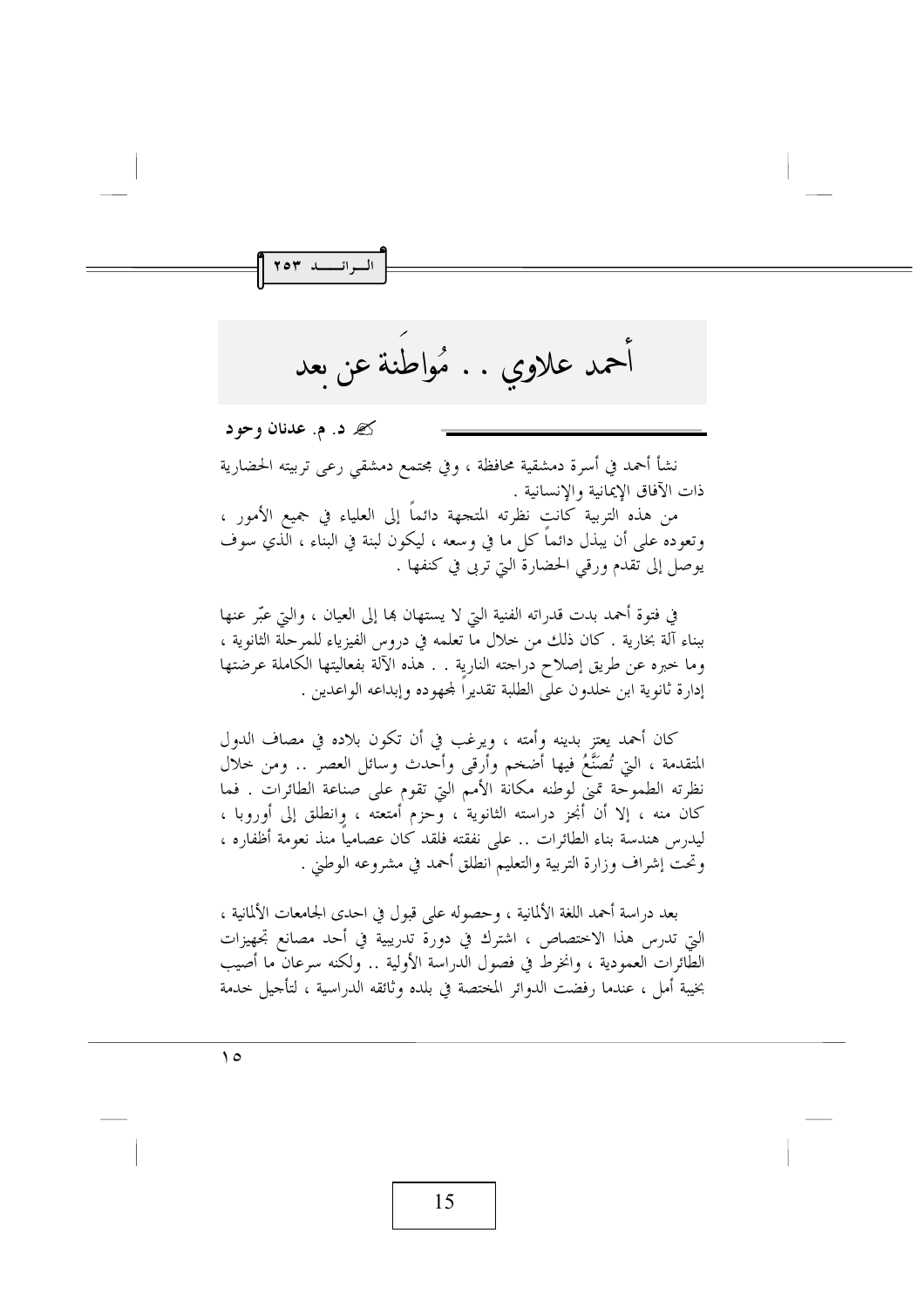أحمد علاوي . . مُواطنة عن ىعد

گه د. م. عدنان وحود

| السرائسسلہ ۲۰۳

نشأ أحمد في أسرة دمشقية محافظة ، وفي مجتمع دمشقى رعى تربيته الحضارية ذات الآفاق الإيمانية والإنسانية .

من هذه التربية كانت نظرته المتجهة دائما إلى العلياء في جميع الأمور ، وتعوده على أن يبذل دائما كل ما في وسعه ، ليكون لبنة في البناء ، الذي سوف يوصل إلى تقدم ورقى الحضارة التي تربى في كنفها .

في فتوة أحمد بدت قدراته الفنية التي لا يستهان هِما إلى العيان ، والتي عبَّر عنها ببناء آلة بخارية . كان ذلك من حلال ما تعلمه في دروس الفيزياء للمرحلة الثانوية ، وما خبره عن طريق إصلاح دراجته النارية . . هذه الآلة بفعاليتها الكاملة عرضتها إدارة ثانوية ابن خلدون على الطلبة تقديرا لمحهوده وإبداعه الواعدين .

كان أحمد يعتز بدينه وأمته ، ويرغب في أن تكون بلاده في مصاف الدول المتقدمة ، التي تُصَنَّعُ فيها أضخم وأرقى وأحدث وسائل العصر .. ومن خلال نظرته الطموحة تميَّ لوطنه مكانة الأمم التي تقوم على صناعة الطائرات . فما كان منه ، إلا أن أنجز دراسته الثانوية ، وحزم أمتعته ، وانطلق إلى أوروبا ، ليدرس هندسة بناء الطائرات .. على نفقته فلقد كان عصاميا منذ نعومة أظفاره ، وتحت إشراف وزارة التربية والتعليم انطلق أحمد في مشروعه الوطني .

بعد دراسة أحمد اللغة الألمانية ، وحصوله على قبول في احدى الجامعات الألمانية ، التي تدرس هذا الاختصاص ، اشترك في دورة تدريبية في أحد مصانع تجهيزات الطائرات العمودية ، وانخرط في فصول الدراسة الأولية .. ولكنه سرعان ما أصيب بخيبة أملٍ ، عندما رفضت الدوائر المختصة في بلده وثائقه الدراسية ، لتأجيل خدمة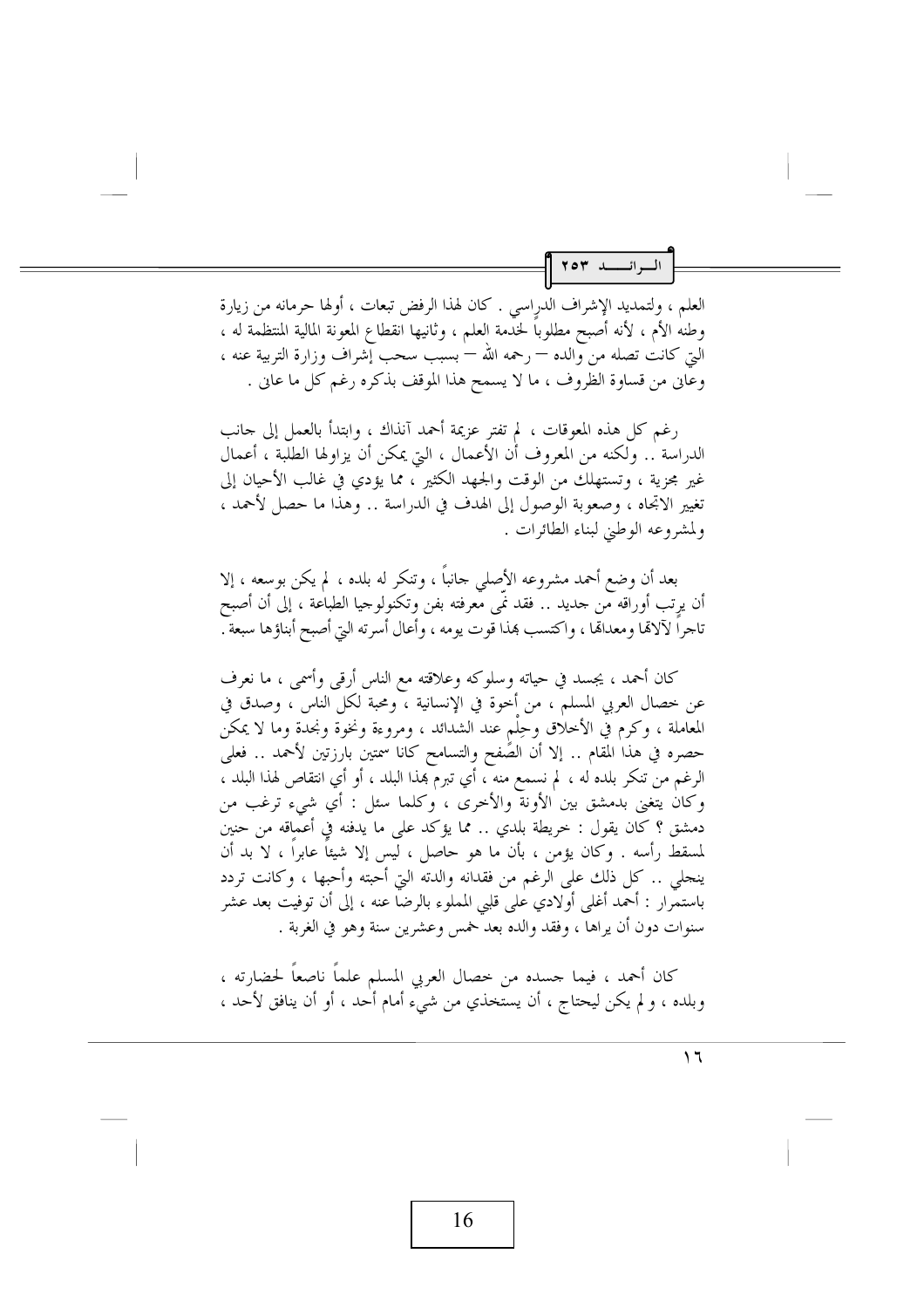البرائسية ٢٥٣

العلم ، ولتمديد الإشراف الدرِاسي . كان لهذا الرفض تبعات ، أولها حرمانه من زيارة وطنهُ الأم ، لأنه أصبح مطلوباً لحْدَّمة العلم ، وثانيها انقطاع المعونة المالية المنتظمة له ، التي كانت تصله من والده — رحمه الله — بسبب سحب إِشراف وزارة التربية عنه ، وعاني من قساوة الظروف ، ما لا يسمح هذا الموقف بذكره رغم كل ما عاني .

رغم كل هذه المعوقات ، لم تفتر عزيمة أحمد آنذاك ، وابتدأ بالعمل إلى جانب الدراسَة .. وَلَكنه من المعروف أن الأعمال ، التي يمكن أن يزاولها الطلبة ، أعمال غير محزية ، وتستهلك من الوقت والجهد الكثير ً، مما يؤدي في غالب الأحيان إلى تغيير الاتجاه ، وصعوبة الوصول إلى الهدف في الدراسة .. وهذا ما حصل لأحمد ، ولمشروعه الوطني لبناء الطائرات .

بعد أن وضع أحمد مشروعه الأصلي جانباً ، وتنكر له بلده ، لم يكن بوسعه ، إلا أن يرتب أوراقه مّن جديد .. فقد نَمّى معرفته بفن وتكنولوجيا الطباعة ، إلى أن أصبح تاجراً لآلاهًا ومعداهًا ، واكتسب هذا قوت يومه ، وأعال أسرته التي أصبح أبناؤها سبعة .

كان أحمد ، يجسد في حياته وسلوكه وعلاقته مع الناس أرقى وأسمى ، ما نعرف عن خصال العربي المسلم ، من أخوة في الإنسانية ، ومحبة لكل الناس ، وصدق في المعاملة ، وكرم فيّ الأخلاق وحِلْم عند الشدائد ، ومروءة ونخوة ونجدة وما لا يمكن حصره في هذا المقام .. إلا أن الصَّفح والتسامح كانا سمتين بارزتين لأحمد .. فعلي الرغم من تنكر بلده له ، لم نسمع منه ، أي تبرم بممذا البلد ، أو أي انتقاص لهذا البلد ، وكان يتغنى بدمشق بين الأونة والأخرى ، وكلما سئل : أي شيء ترغب من دمشق ؟ كان يقول : خريطة بلدي .. مما يؤكد على ما يدفنه في أعماقه من حنين لمسقط رأسه . وكان يؤمن ، بأن ما هو حاصل ، ليس إلا شيئاً عابراً ، لا بد أن ينجلي .. كل ذلك على الرغم من فقدانه والدته التي أحبته وأحبها ، وكانت تردد باستمَّرار : أحمد أغلي أولادي على قلبي المملوء بالرضا عنه ، إلى أن توفيت بعد عشر سنوات دون أن يراها ، وفقد والده بعد خمس وعشرين سنة وهو في الغربة .

كان أحمد ، فيما جسده من خصال العربي المسلم علماً ناصعاً لحضارته ، وبلده ، و لم يكن ليحتاج ، أن يستخذي من شيء أمام أحد ، أو أن ينافق لأحد ،